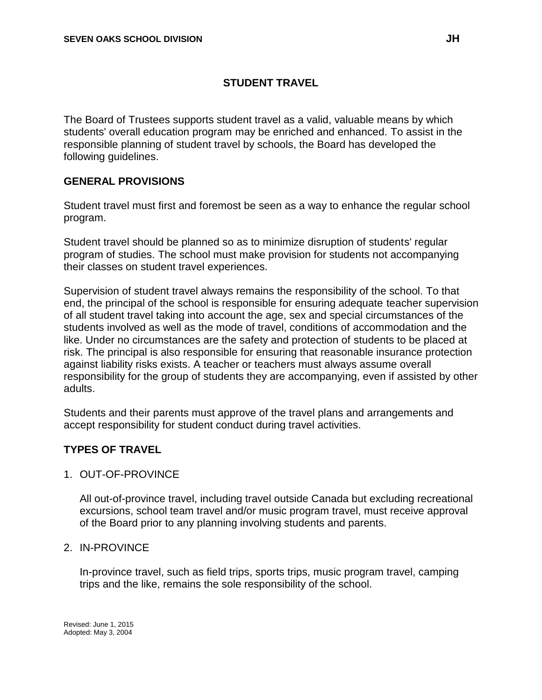# **STUDENT TRAVEL**

The Board of Trustees supports student travel as a valid, valuable means by which students' overall education program may be enriched and enhanced. To assist in the responsible planning of student travel by schools, the Board has developed the following guidelines.

# **GENERAL PROVISIONS**

Student travel must first and foremost be seen as a way to enhance the regular school program.

Student travel should be planned so as to minimize disruption of students' regular program of studies. The school must make provision for students not accompanying their classes on student travel experiences.

Supervision of student travel always remains the responsibility of the school. To that end, the principal of the school is responsible for ensuring adequate teacher supervision of all student travel taking into account the age, sex and special circumstances of the students involved as well as the mode of travel, conditions of accommodation and the like. Under no circumstances are the safety and protection of students to be placed at risk. The principal is also responsible for ensuring that reasonable insurance protection against liability risks exists. A teacher or teachers must always assume overall responsibility for the group of students they are accompanying, even if assisted by other adults.

Students and their parents must approve of the travel plans and arrangements and accept responsibility for student conduct during travel activities.

# **TYPES OF TRAVEL**

#### 1. OUT-OF-PROVINCE

All out-of-province travel, including travel outside Canada but excluding recreational excursions, school team travel and/or music program travel, must receive approval of the Board prior to any planning involving students and parents.

#### 2. IN-PROVINCE

In-province travel, such as field trips, sports trips, music program travel, camping trips and the like, remains the sole responsibility of the school.